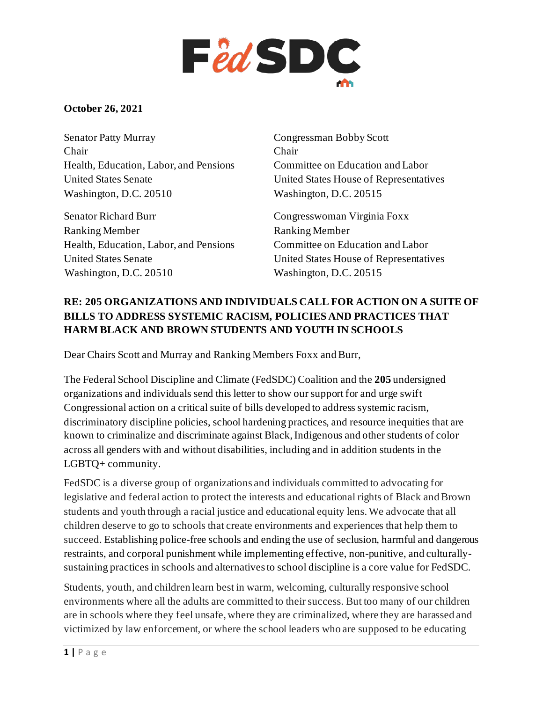

### **October 26, 2021**

Senator Patty Murray Chair Health, Education, Labor, and Pensions United States Senate Washington, D.C. 20510

Senator Richard Burr Ranking Member Health, Education, Labor, and Pensions United States Senate Washington, D.C. 20510

Congressman Bobby Scott Chair Committee on Education and Labor United States House of Representatives Washington, D.C. 20515

Congresswoman Virginia Foxx Ranking Member Committee on Education and Labor United States House of Representatives Washington, D.C. 20515

### **RE: 205 ORGANIZATIONS AND INDIVIDUALS CALL FOR ACTION ON A SUITE OF BILLS TO ADDRESS SYSTEMIC RACISM, POLICIES AND PRACTICES THAT HARM BLACK AND BROWN STUDENTS AND YOUTH IN SCHOOLS**

Dear Chairs Scott and Murray and Ranking Members Foxx and Burr,

The Federal School Discipline and Climate (FedSDC) Coalition and the **205** undersigned organizations and individuals send this letter to show our support for and urge swift Congressional action on a critical suite of bills developed to address systemic racism, discriminatory discipline policies, school hardening practices, and resource inequities that are known to criminalize and discriminate against Black, Indigenous and other students of color across all genders with and without disabilities, including and in addition students in the LGBTQ+ community.

FedSDC is a diverse group of organizations and individuals committed to advocating for legislative and federal action to protect the interests and educational rights of Black and Brown students and youth through a racial justice and educational equity lens. We advocate that all children deserve to go to schools that create environments and experiences that help them to succeed. Establishing police-free schools and ending the use of seclusion, harmful and dangerous restraints, and corporal punishment while implementing effective, non-punitive, and culturallysustaining practices in schools and alternatives to school discipline is a core value for FedSDC.

Students, youth, and children learn best in warm, welcoming, culturally responsive school environments where all the adults are committed to their success. But too many of our children are in schools where they feel unsafe, where they are criminalized, where they are harassed and victimized by law enforcement, or where the school leaders who are supposed to be educating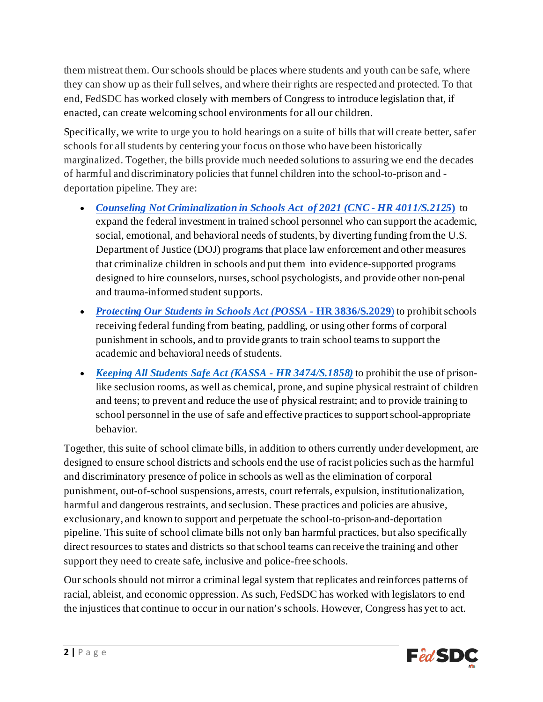them mistreat them. Our schools should be places where students and youth can be safe, where they can show up as their full selves, and where their rights are respected and protected. To that end, FedSDC has worked closely with members of Congress to introduce legislation that, if enacted, can create welcoming school environments for all our children.

Specifically, we write to urge you to hold hearings on a suite of bills that will create better, safer schools for all students by centering your focus on those who have been historically marginalized. Together, the bills provide much needed solutions to assuring we end the decades of harmful and discriminatory policies that funnel children into the school-to-prison and deportation pipeline. They are:

- *[Counseling Not Criminalization in Schools Act](https://www.congress.gov/bill/117th-congress/senate-bill/2125/related-bills?r=1&s=1) of 2021 (CNC - HR 4011/S.2125***)** to expand the federal investment in trained school personnel who can support the academic, social, emotional, and behavioral needs of students, by diverting funding from the U.S. Department of Justice (DOJ) programs that place law enforcement and other measures that criminalize children in schools and put them into evidence-supported programs designed to hire counselors, nurses, school psychologists, and provide other non-penal and trauma-informed student supports.
- *[Protecting Our Students in Schools Act \(POSSA -](https://www.congress.gov/bill/117th-congress/senate-bill/2029/related-bills?q=%7B%22search%22%3A%5B%22murphy%22%5D%7D&r=62&s=1)* **HR 3836/S.2029**) to prohibit schools receiving federal funding from beating, paddling, or using other forms of corporal punishment in schools, and to provide grants to train school teams to support the academic and behavioral needs of students.
- *[Keeping All Students Safe Act \(KASSA -](https://www.congress.gov/bill/117th-congress/house-bill/3474/related-bills?q=%7B%22search%22%3A%5B%22H.R.3474%22%5D%7D&r=1&s=5) HR 3474/S.1858)* to prohibit the use of prisonlike seclusion rooms, as well as chemical, prone, and supine physical restraint of children and teens; to prevent and reduce the use of physical restraint; and to provide training to school personnel in the use of safe and effective practices to support school-appropriate behavior.

Together, this suite of school climate bills, in addition to others currently under development, are designed to ensure school districts and schools end the use of racist policies such as the harmful and discriminatory presence of police in schools as well as the elimination of corporal punishment, out-of-school suspensions, arrests, court referrals, expulsion, institutionalization, harmful and dangerous restraints, and seclusion. These practices and policies are abusive, exclusionary, and known to support and perpetuate the school-to-prison-and-deportation pipeline. This suite of school climate bills not only ban harmful practices, but also specifically direct resources to states and districts so that school teams can receive the training and other support they need to create safe, inclusive and police-free schools.

Our schools should not mirror a criminal legal system that replicates and reinforces patterns of racial, ableist, and economic oppression. As such, FedSDC has worked with legislators to end the injustices that continue to occur in our nation's schools. However, Congress has yet to act.

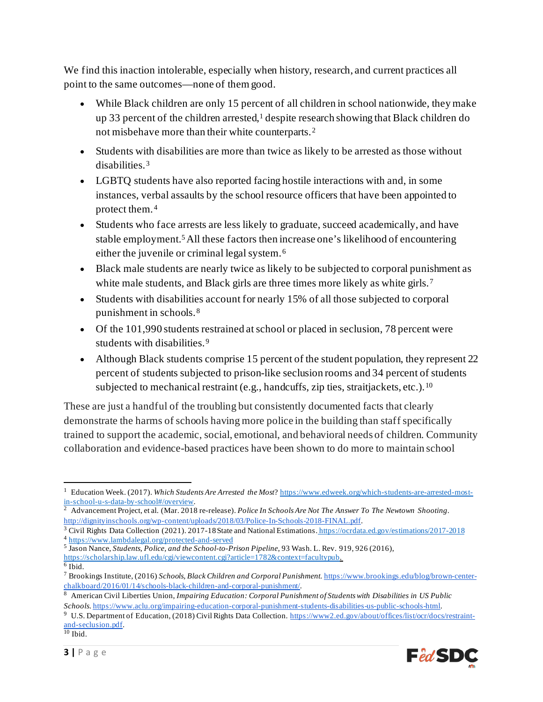We find this inaction intolerable, especially when history, research, and current practices all point to the same outcomes—none of them good.

- While Black children are only 15 percent of all children in school nationwide, they make up 33 percent of the children arrested,<sup>[1](#page-2-0)</sup> despite research showing that Black children do not misbehave more than their white counterparts. [2](#page-2-1)
- Students with disabilities are more than twice as likely to be arrested as those without disabilities.[3](#page-2-2)
- LGBTQ students have also reported facing hostile interactions with and, in some instances, verbal assaults by the school resource officers that have been appointed to protect them.[4](#page-2-3)
- Students who face arrests are less likely to graduate, succeed academically, and have stable employment.<sup>[5](#page-2-4)</sup> All these factors then increase one's likelihood of encountering either the juvenile or criminal legal system.[6](#page-2-5)
- Black male students are nearly twice as likely to be subjected to corporal punishment as white male students, and Black girls are three times more likely as white girls.<sup>[7](#page-2-6)</sup>
- Students with disabilities account for nearly 15% of all those subjected to corporal punishment in schools. [8](#page-2-7)
- Of the 101,990 students restrained at school or placed in seclusion, 78 percent were students with disabilities.<sup>[9](#page-2-8)</sup>
- Although Black students comprise 15 percent of the student population, they represent 22 percent of students subjected to prison-like seclusion rooms and 34 percent of students subjected to mechanical restraint (e.g., handcuffs, zip ties, straitjackets, etc.).<sup>[10](#page-2-9)</sup>

These are just a handful of the troubling but consistently documented facts that clearly demonstrate the harms of schools having more police in the building than staff specifically trained to support the academic, social, emotional, and behavioral needs of children. Community collaboration and evidence-based practices have been shown to do more to maintain school

<span id="page-2-0"></span><sup>1</sup> Education Week. (2017). *Which Students Are Arrested the Most*? [https://www.edweek.org/which-students-are-arrested-most](https://www.edweek.org/which-students-are-arrested-most-in-school-u-s-data-by-school#/overview)[in-school-u-s-data-by-school#/overview.](https://www.edweek.org/which-students-are-arrested-most-in-school-u-s-data-by-school#/overview)

<span id="page-2-1"></span><sup>2</sup> Advancement Project, et al. (Mar. 2018 re-release). *Police In Schools Are Not The Answer To The Newtown Shooting*. <http://dignityinschools.org/wp-content/uploads/2018/03/Police-In-Schools-2018-FINAL.pdf>.

<span id="page-2-2"></span><sup>3</sup> Civil Rights Data Collection (2021). 2017-18 State and National Estimations. <https://ocrdata.ed.gov/estimations/2017-2018>

<span id="page-2-3"></span><sup>4</sup> <https://www.lambdalegal.org/protected-and-served> <sup>5</sup> Jason Nance, *Students, Police, and the School-to-Prison Pipeline*, 93 Wash. L. Rev. 919, 926 (2016),

<span id="page-2-5"></span><span id="page-2-4"></span><https://scholarship.law.ufl.edu/cgi/viewcontent.cgi?article=1782&context=facultypub>.

<sup>6</sup> Ibid.

<span id="page-2-6"></span><sup>7</sup> Brookings Institute, (2016) *Schools, Black Children and Corporal Punishment.* [https://www.brookings.edu/blog/brown-center](https://www.brookings.edu/blog/brown-center-chalkboard/2016/01/14/schools-black-children-and-corporal-punishment/)[chalkboard/2016/01/14/schools-black-children-and-corporal-punishment/.](https://www.brookings.edu/blog/brown-center-chalkboard/2016/01/14/schools-black-children-and-corporal-punishment/)

<span id="page-2-7"></span><sup>8</sup> American Civil Liberties Union, *Impairing Education: Corporal Punishment of Students with Disabilities in US Public Schools*[. https://www.aclu.org/impairing-education-corporal-punishment-students-disabilities-us-public-schools-html.](https://www.aclu.org/impairing-education-corporal-punishment-students-disabilities-us-public-schools-html)

<span id="page-2-9"></span><span id="page-2-8"></span><sup>9</sup> U.S. Department of Education, (2018) Civil Rights Data Collection[. https://www2.ed.gov/about/offices/list/ocr/docs/restraint](https://www2.ed.gov/about/offices/list/ocr/docs/restraint-and-seclusion.pdf)[and-seclusion.pdf](https://www2.ed.gov/about/offices/list/ocr/docs/restraint-and-seclusion.pdf).  $\overline{^{10}}$  Ibid.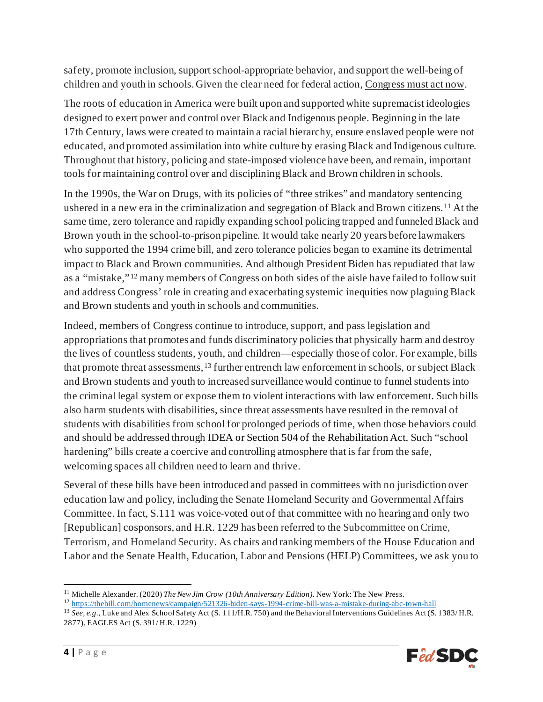safety, promote inclusion, support school-appropriate behavior, and support the well-being of children and youth in schools. Given the clear need for federal action, Congress must act now.

The roots of education in America were built upon and supported white supremacist ideologies designed to exert power and control over Black and Indigenous people. Beginning in the late 17th Century, laws were created to maintain a racial hierarchy, ensure enslaved people were not educated, and promoted assimilation into white culture by erasing Black and Indigenous culture. Throughout that history, policing and state-imposed violence have been, and remain, important tools for maintaining control over and disciplining Black and Brown children in schools.

In the 1990s, the War on Drugs, with its policies of "three strikes" and mandatory sentencing ushered in a new era in the criminalization and segregation of Black and Brown citizens.[11](#page-3-0) At the same time, zero tolerance and rapidly expanding school policing trapped and funneled Black and Brown youth in the school-to-prison pipeline. It would take nearly 20 years before lawmakers who supported the 1994 crime bill, and zero tolerance policies began to examine its detrimental impact to Black and Brown communities. And although President Biden has repudiated that law as a "mistake," [12](#page-3-1) many members of Congress on both sides of the aisle have failed to follow suit and address Congress' role in creating and exacerbating systemic inequities now plaguing Black and Brown students and youth in schools and communities.

Indeed, members of Congress continue to introduce, support, and pass legislation and appropriations that promotes and funds discriminatory policies that physically harm and destroy the lives of countless students, youth, and children—especially those of color. For example, bills that promote threat assessments,<sup>[13](#page-3-2)</sup> further entrench law enforcement in schools, or subject Black and Brown students and youth to increased surveillance would continue to funnel students into the criminal legal system or expose them to violent interactions with law enforcement. Such bills also harm students with disabilities, since threat assessments have resulted in the removal of students with disabilities from school for prolonged periods of time, when those behaviors could and should be addressed through IDEA or Section 504 of the Rehabilitation Act. Such "school hardening" bills create a coercive and controlling atmosphere that is far from the safe, welcoming spaces all children need to learn and thrive.

Several of these bills have been introduced and passed in committees with no jurisdiction over education law and policy, including the Senate Homeland Security and Governmental Affairs Committee. In fact, S.111 was voice-voted out of that committee with no hearing and only two [Republican] cosponsors, and H.R. 1229 has been referred to the Subcommittee on Crime, Terrorism, and Homeland Security. As chairs and ranking members of the House Education and Labor and the Senate Health, Education, Labor and Pensions (HELP) Committees, we ask you to

<span id="page-3-2"></span><sup>&</sup>lt;sup>13</sup> *See, e.g.*, Luke and Alex School Safety Act (S. 111/H.R. 750) and the Behavioral Interventions Guidelines Act (S. 1383/H.R. 2877), EAGLES Act (S. 391/ H.R. 1229)



<span id="page-3-0"></span><sup>11</sup> Michelle Alexander. (2020) *The New Jim Crow (10th Anniversary Edition).* New York: The New Press.

<span id="page-3-1"></span><sup>12</sup> <https://thehill.com/homenews/campaign/521326-biden-says-1994-crime-bill-was-a-mistake-during-abc-town-hall>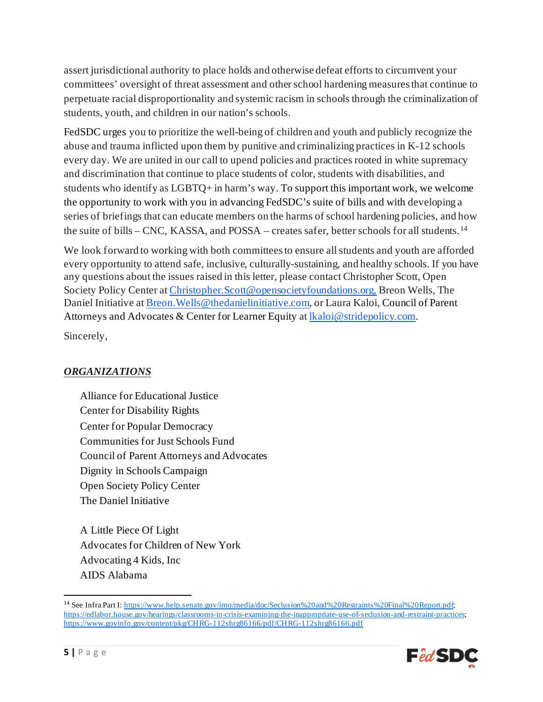assert jurisdictional authority to place holds and otherwise defeat efforts to circumvent your committees' oversight of threat assessment and other school hardening measures that continue to perpetuate racial disproportionality and systemic racism in schools through the criminalization of students, youth, and children in our nation's schools.

FedSDC urges you to prioritize the well-being of children and youth and publicly recognize the abuse and trauma inflicted upon them by punitive and criminalizing practices in K-12 schools every day. We are united in our call to upend policies and practices rooted in white supremacy and discrimination that continue to place students of color, students with disabilities, and students who identify as LGBTQ+ in harm's way. To support this important work, we welcome the opportunity to work with you in advancing FedSDC's suite of bills and with developing a series of briefings that can educate members on the harms of school hardening policies, and how the suite of bills – CNC, KASSA, and POSSA – creates safer, better schools for all students.<sup>[14](#page-4-0)</sup>

We look forward to working with both committees to ensure all students and youth are afforded every opportunity to attend safe, inclusive, culturally-sustaining, and healthy schools. If you have any questions about the issues raised in this letter, please contact Christopher Scott, Open Society Policy Center at [Christopher.Scott@opensocietyfoundations.org,](mailto:Christopher.Scott@opensocietyfoundations.org) Breon Wells, The Daniel Initiative at [Breon.Wells@thedanielinitiative.com,](mailto:Breon.Wells@thedanielinitiative.com) or Laura Kaloi, Council of Parent Attorneys and Advocates & Center for Learner Equity a[t lkaloi@stridepolicy.com.](mailto:lkaloi@stridepolicy.com)

Sincerely,

## *ORGANIZATIONS*

Alliance for Educational Justice Center for Disability Rights Center for Popular Democracy Communities for Just Schools Fund Council of Parent Attorneys and Advocates Dignity in Schools Campaign Open Society Policy Center The Daniel Initiative

A Little Piece Of Light Advocates for Children of New York Advocating 4 Kids, Inc AIDS Alabama

<span id="page-4-0"></span><sup>&</sup>lt;sup>14</sup> See Infra Part I: <https://www.help.senate.gov/imo/media/doc/Seclusion%20and%20Restraints%20Final%20Report.pdf>; <https://edlabor.house.gov/hearings/classrooms-in-crisis-examining-the-inappropriate-use-of-seclusion-and-restraint-practices>; <https://www.govinfo.gov/content/pkg/CHRG-112shrg86166/pdf/CHRG-112shrg86166.pdf>

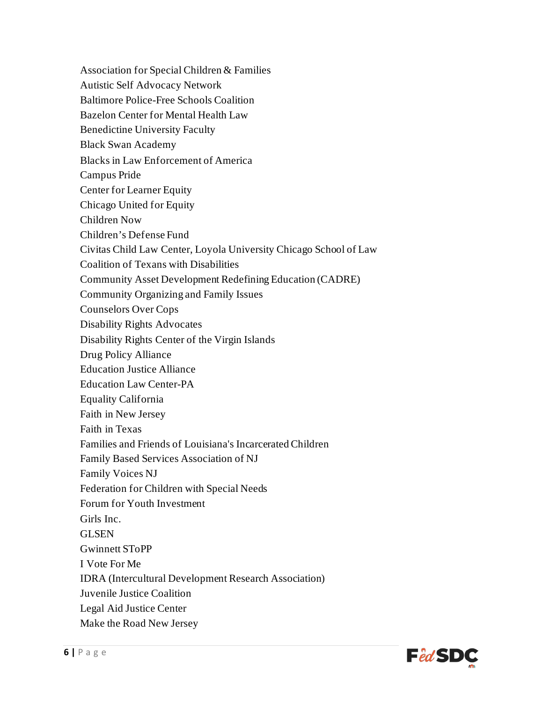Association for Special Children & Families Autistic Self Advocacy Network Baltimore Police-Free Schools Coalition Bazelon Center for Mental Health Law Benedictine University Faculty Black Swan Academy Blacks in Law Enforcement of America Campus Pride Center for Learner Equity Chicago United for Equity Children Now Children's Defense Fund Civitas Child Law Center, Loyola University Chicago School of Law Coalition of Texans with Disabilities Community Asset Development Redefining Education (CADRE) Community Organizing and Family Issues Counselors Over Cops Disability Rights Advocates Disability Rights Center of the Virgin Islands Drug Policy Alliance Education Justice Alliance Education Law Center-PA Equality California Faith in New Jersey Faith in Texas Families and Friends of Louisiana's Incarcerated Children Family Based Services Association of NJ Family Voices NJ Federation for Children with Special Needs Forum for Youth Investment Girls Inc. GLSEN Gwinnett SToPP I Vote For Me IDRA (Intercultural Development Research Association) Juvenile Justice Coalition Legal Aid Justice Center Make the Road New Jersey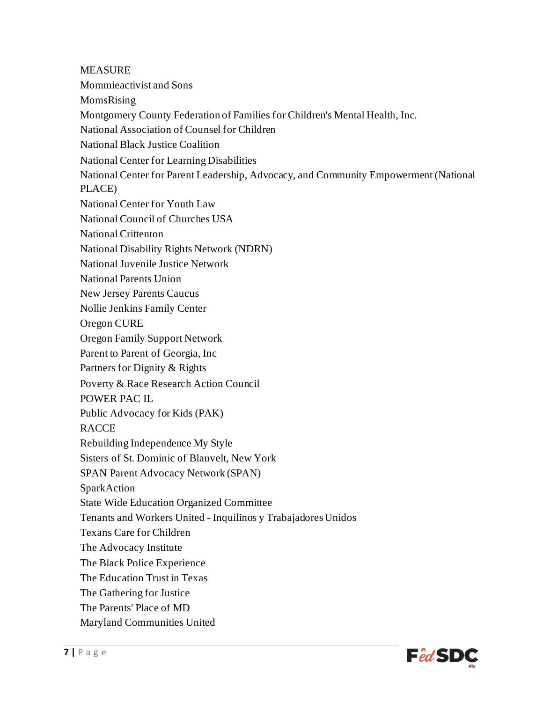**MEASURE** Mommieactivist and Sons MomsRising Montgomery County Federation of Families for Children's Mental Health, Inc. National Association of Counsel for Children National Black Justice Coalition National Center for Learning Disabilities National Center for Parent Leadership, Advocacy, and Community Empowerment (National PLACE) National Center for Youth Law National Council of Churches USA National Crittenton National Disability Rights Network (NDRN) National Juvenile Justice Network National Parents Union New Jersey Parents Caucus Nollie Jenkins Family Center Oregon CURE Oregon Family Support Network Parent to Parent of Georgia, Inc Partners for Dignity & Rights Poverty & Race Research Action Council POWER PAC IL Public Advocacy for Kids (PAK) RACCE Rebuilding Independence My Style Sisters of St. Dominic of Blauvelt, New York SPAN Parent Advocacy Network (SPAN) SparkAction State Wide Education Organized Committee Tenants and Workers United - Inquilinos y Trabajadores Unidos Texans Care for Children The Advocacy Institute The Black Police Experience The Education Trust in Texas The Gathering for Justice The Parents' Place of MD Maryland Communities United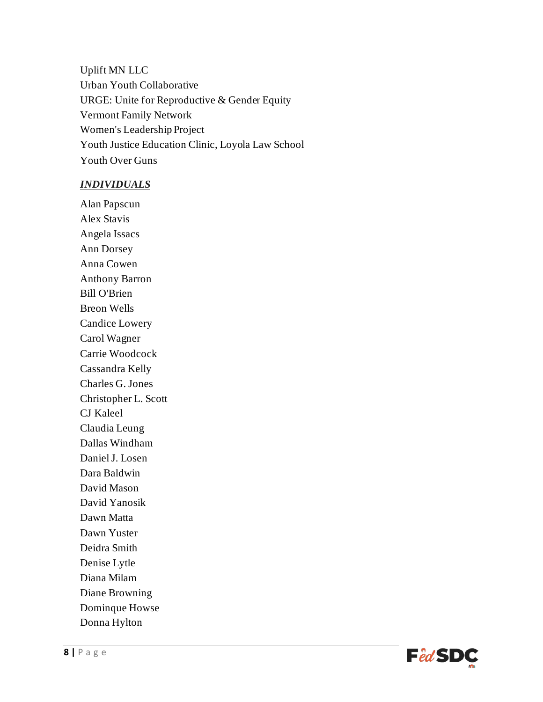Uplift MN LLC Urban Youth Collaborative URGE: Unite for Reproductive & Gender Equity Vermont Family Network Women's Leadership Project Youth Justice Education Clinic, Loyola Law School Youth Over Guns

#### *INDIVIDUALS*

Alan Papscun Alex Stavis Angela Issacs Ann Dorsey Anna Cowen Anthony Barron Bill O'Brien Breon Wells Candice Lowery Carol Wagner Carrie Woodcock Cassandra Kelly Charles G. Jones Christopher L. Scott CJ Kaleel Claudia Leung Dallas Windham Daniel J. Losen Dara Baldwin David Mason David Yanosik Dawn Matta Dawn Yuster Deidra Smith Denise Lytle Diana Milam Diane Browning Dominque Howse Donna Hylton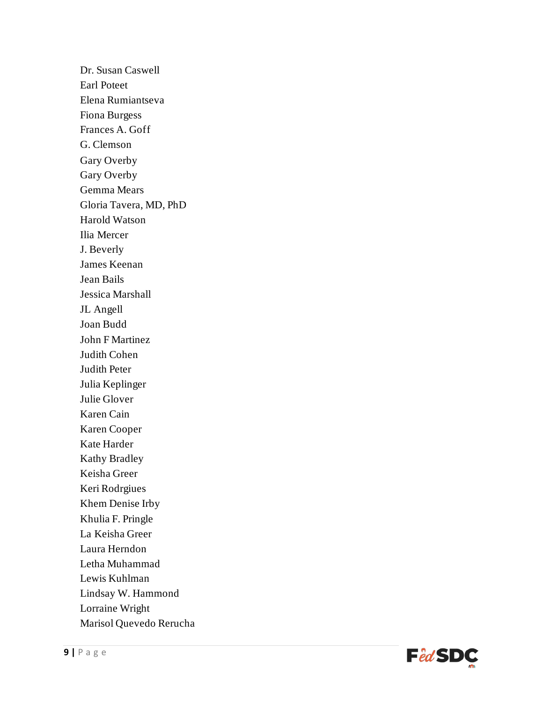Dr. Susan Caswell Earl Poteet Elena Rumiantseva Fiona Burgess Frances A. Goff G. Clemson Gary Overby Gary Overby Gemma Mears Gloria Tavera, MD, PhD Harold Watson Ilia Mercer J. Beverly James Keenan Jean Bails Jessica Marshall JL Angell Joan Budd John F Martinez Judith Cohen Judith Peter Julia Keplinger Julie Glover Karen Cain Karen Cooper Kate Harder Kathy Bradley Keisha Greer Keri Rodrgiues Khem Denise Irby Khulia F. Pringle La Keisha Greer Laura Herndon Letha Muhammad Lewis Kuhlman Lindsay W. Hammond Lorraine Wright Marisol Quevedo Rerucha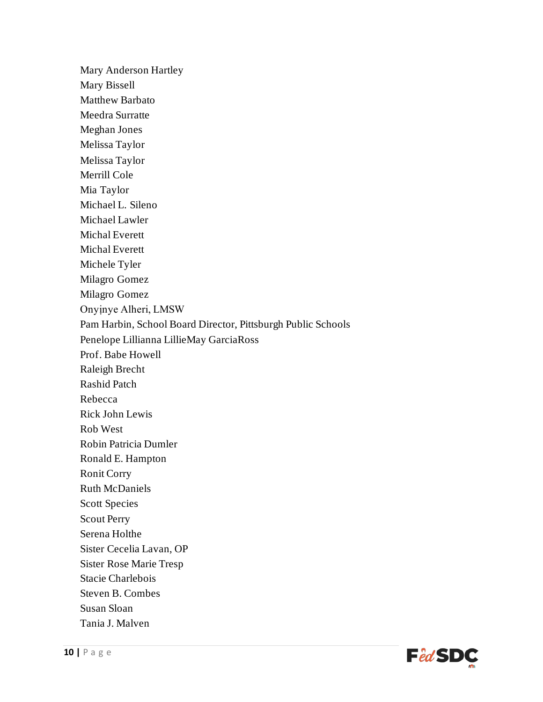Mary Anderson Hartley Mary Bissell Matthew Barbato Meedra Surratte Meghan Jones Melissa Taylor Melissa Taylor Merrill Cole Mia Taylor Michael L. Sileno Michael Lawler Michal Everett Michal Everett Michele Tyler Milagro Gomez Milagro Gomez Onyịnye Alheri, LMSW Pam Harbin, School Board Director, Pittsburgh Public Schools Penelope Lillianna LillieMay GarciaRoss Prof. Babe Howell Raleigh Brecht Rashid Patch Rebecca Rick John Lewis Rob West Robin Patricia Dumler Ronald E. Hampton Ronit Corry Ruth McDaniels Scott Species Scout Perry Serena Holthe Sister Cecelia Lavan, OP Sister Rose Marie Tresp Stacie Charlebois Steven B. Combes Susan Sloan Tania J. Malven